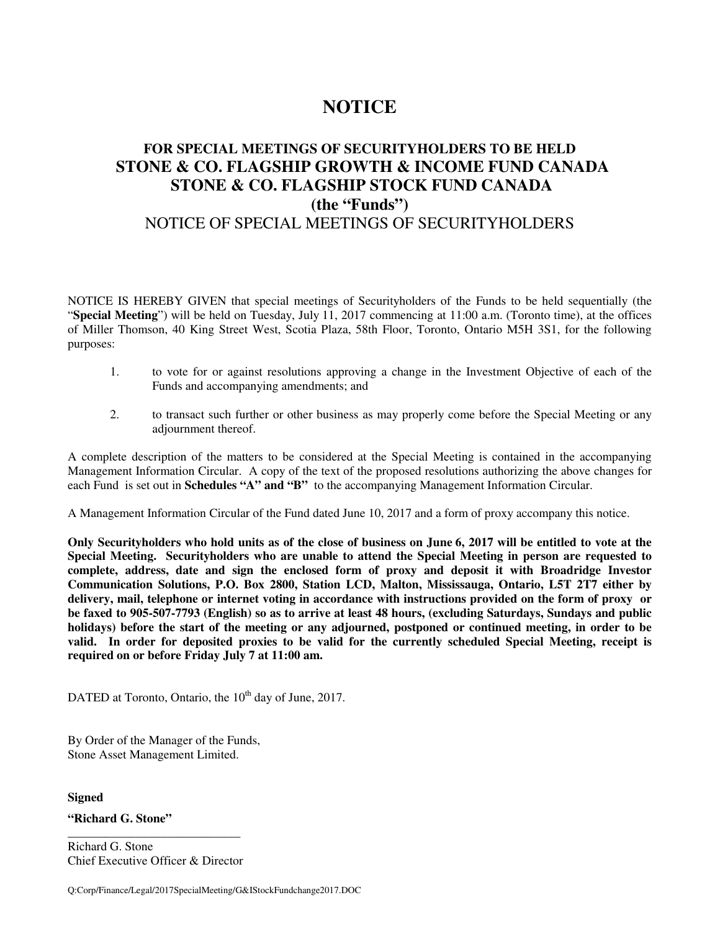# **NOTICE**

# **FOR SPECIAL MEETINGS OF SECURITYHOLDERS TO BE HELD STONE & CO. FLAGSHIP GROWTH & INCOME FUND CANADA STONE & CO. FLAGSHIP STOCK FUND CANADA (the "Funds")**  NOTICE OF SPECIAL MEETINGS OF SECURITYHOLDERS

NOTICE IS HEREBY GIVEN that special meetings of Securityholders of the Funds to be held sequentially (the "**Special Meeting**") will be held on Tuesday, July 11, 2017 commencing at 11:00 a.m. (Toronto time), at the offices of Miller Thomson, 40 King Street West, Scotia Plaza, 58th Floor, Toronto, Ontario M5H 3S1, for the following purposes:

- 1. to vote for or against resolutions approving a change in the Investment Objective of each of the Funds and accompanying amendments; and
- 2. to transact such further or other business as may properly come before the Special Meeting or any adjournment thereof.

A complete description of the matters to be considered at the Special Meeting is contained in the accompanying Management Information Circular. A copy of the text of the proposed resolutions authorizing the above changes for each Fund is set out in **Schedules "A" and "B"** to the accompanying Management Information Circular.

A Management Information Circular of the Fund dated June 10, 2017 and a form of proxy accompany this notice.

**Only Securityholders who hold units as of the close of business on June 6, 2017 will be entitled to vote at the Special Meeting. Securityholders who are unable to attend the Special Meeting in person are requested to complete, address, date and sign the enclosed form of proxy and deposit it with Broadridge Investor Communication Solutions, P.O. Box 2800, Station LCD, Malton, Mississauga, Ontario, L5T 2T7 either by delivery, mail, telephone or internet voting in accordance with instructions provided on the form of proxy or be faxed to 905-507-7793 (English) so as to arrive at least 48 hours, (excluding Saturdays, Sundays and public holidays) before the start of the meeting or any adjourned, postponed or continued meeting, in order to be valid. In order for deposited proxies to be valid for the currently scheduled Special Meeting, receipt is required on or before Friday July 7 at 11:00 am.**

DATED at Toronto, Ontario, the  $10<sup>th</sup>$  day of June, 2017.

By Order of the Manager of the Funds, Stone Asset Management Limited.

**Signed** 

**"Richard G. Stone"**

\_\_\_\_\_\_\_\_\_\_\_\_\_\_\_\_\_\_\_\_\_\_\_\_\_\_\_\_ Richard G. Stone Chief Executive Officer & Director

Q:Corp/Finance/Legal/2017SpecialMeeting/G&IStockFundchange2017.DOC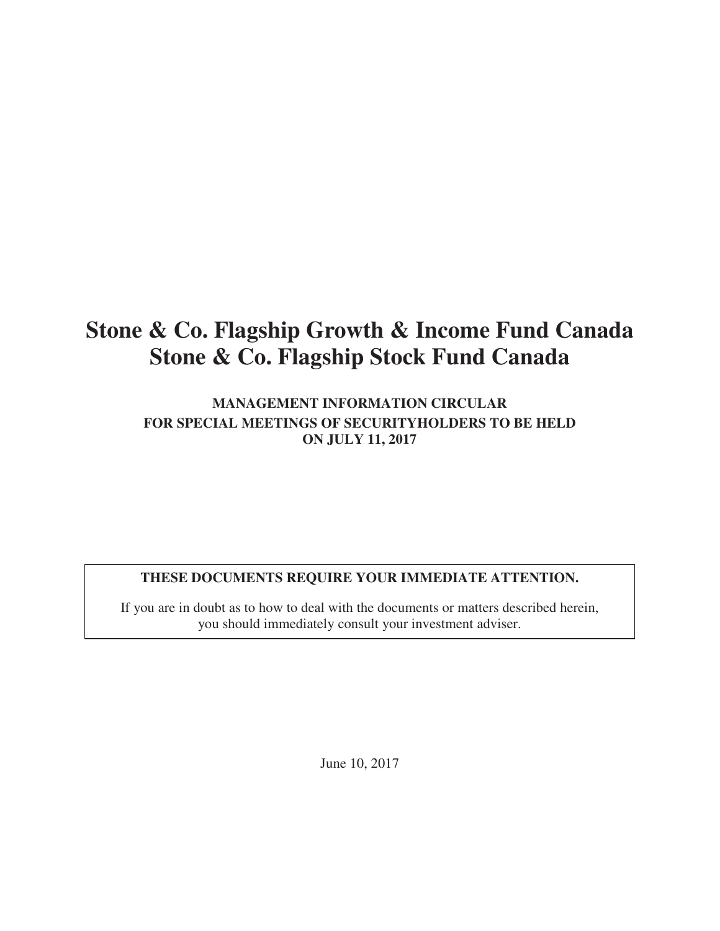# **Stone & Co. Flagship Growth & Income Fund Canada Stone & Co. Flagship Stock Fund Canada**

**MANAGEMENT INFORMATION CIRCULAR FOR SPECIAL MEETINGS OF SECURITYHOLDERS TO BE HELD ON JULY 11, 2017** 

# **THESE DOCUMENTS REQUIRE YOUR IMMEDIATE ATTENTION.**

If you are in doubt as to how to deal with the documents or matters described herein, you should immediately consult your investment adviser.

June 10, 2017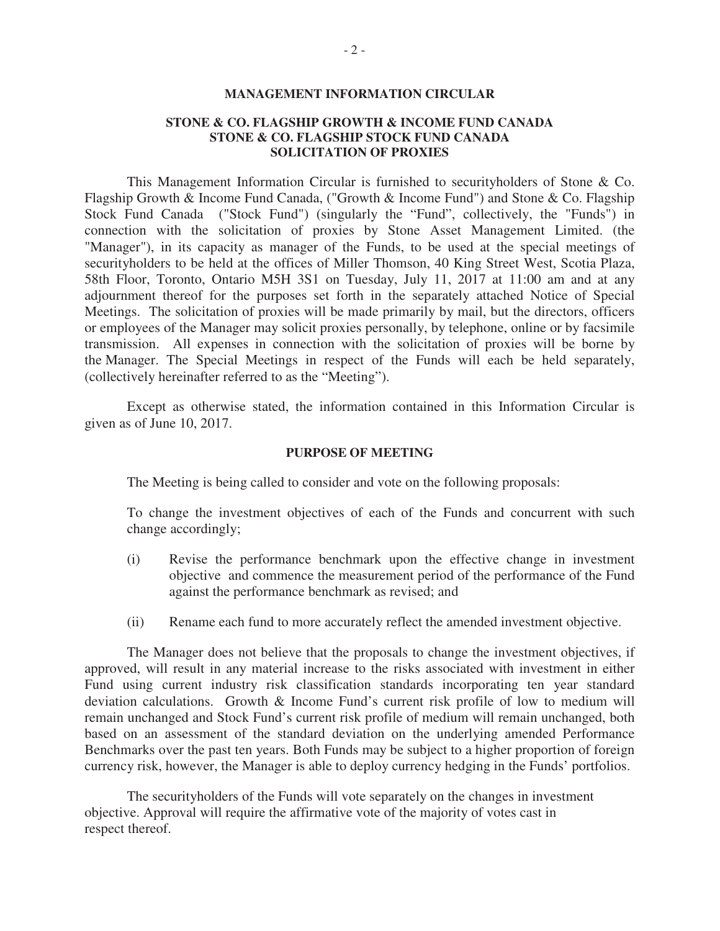#### **MANAGEMENT INFORMATION CIRCULAR**

#### **STONE & CO. FLAGSHIP GROWTH & INCOME FUND CANADA STONE & CO. FLAGSHIP STOCK FUND CANADA SOLICITATION OF PROXIES**

This Management Information Circular is furnished to securityholders of Stone & Co. Flagship Growth & Income Fund Canada, ("Growth & Income Fund") and Stone & Co. Flagship Stock Fund Canada ("Stock Fund") (singularly the "Fund", collectively, the "Funds") in connection with the solicitation of proxies by Stone Asset Management Limited. (the "Manager"), in its capacity as manager of the Funds, to be used at the special meetings of securityholders to be held at the offices of Miller Thomson, 40 King Street West, Scotia Plaza, 58th Floor, Toronto, Ontario M5H 3S1 on Tuesday, July 11, 2017 at 11:00 am and at any adjournment thereof for the purposes set forth in the separately attached Notice of Special Meetings. The solicitation of proxies will be made primarily by mail, but the directors, officers or employees of the Manager may solicit proxies personally, by telephone, online or by facsimile transmission. All expenses in connection with the solicitation of proxies will be borne by the Manager. The Special Meetings in respect of the Funds will each be held separately, (collectively hereinafter referred to as the "Meeting").

Except as otherwise stated, the information contained in this Information Circular is given as of June 10, 2017.

#### **PURPOSE OF MEETING**

The Meeting is being called to consider and vote on the following proposals:

To change the investment objectives of each of the Funds and concurrent with such change accordingly;

- (i) Revise the performance benchmark upon the effective change in investment objective and commence the measurement period of the performance of the Fund against the performance benchmark as revised; and
- (ii) Rename each fund to more accurately reflect the amended investment objective.

The Manager does not believe that the proposals to change the investment objectives, if approved, will result in any material increase to the risks associated with investment in either Fund using current industry risk classification standards incorporating ten year standard deviation calculations. Growth & Income Fund's current risk profile of low to medium will remain unchanged and Stock Fund's current risk profile of medium will remain unchanged, both based on an assessment of the standard deviation on the underlying amended Performance Benchmarks over the past ten years. Both Funds may be subject to a higher proportion of foreign currency risk, however, the Manager is able to deploy currency hedging in the Funds' portfolios.

The securityholders of the Funds will vote separately on the changes in investment objective. Approval will require the affirmative vote of the majority of votes cast in respect thereof.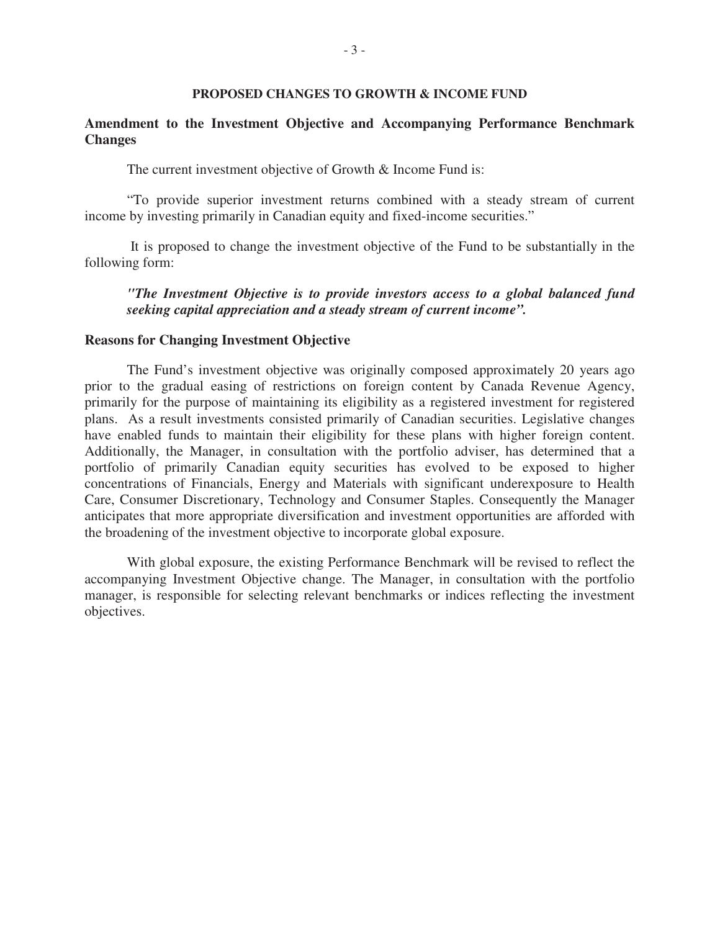#### **PROPOSED CHANGES TO GROWTH & INCOME FUND**

# **Amendment to the Investment Objective and Accompanying Performance Benchmark Changes**

The current investment objective of Growth & Income Fund is:

"To provide superior investment returns combined with a steady stream of current income by investing primarily in Canadian equity and fixed-income securities."

 It is proposed to change the investment objective of the Fund to be substantially in the following form:

# *"The Investment Objective is to provide investors access to a global balanced fund seeking capital appreciation and a steady stream of current income".*

#### **Reasons for Changing Investment Objective**

The Fund's investment objective was originally composed approximately 20 years ago prior to the gradual easing of restrictions on foreign content by Canada Revenue Agency, primarily for the purpose of maintaining its eligibility as a registered investment for registered plans. As a result investments consisted primarily of Canadian securities. Legislative changes have enabled funds to maintain their eligibility for these plans with higher foreign content. Additionally, the Manager, in consultation with the portfolio adviser, has determined that a portfolio of primarily Canadian equity securities has evolved to be exposed to higher concentrations of Financials, Energy and Materials with significant underexposure to Health Care, Consumer Discretionary, Technology and Consumer Staples. Consequently the Manager anticipates that more appropriate diversification and investment opportunities are afforded with the broadening of the investment objective to incorporate global exposure.

With global exposure, the existing Performance Benchmark will be revised to reflect the accompanying Investment Objective change. The Manager, in consultation with the portfolio manager, is responsible for selecting relevant benchmarks or indices reflecting the investment objectives.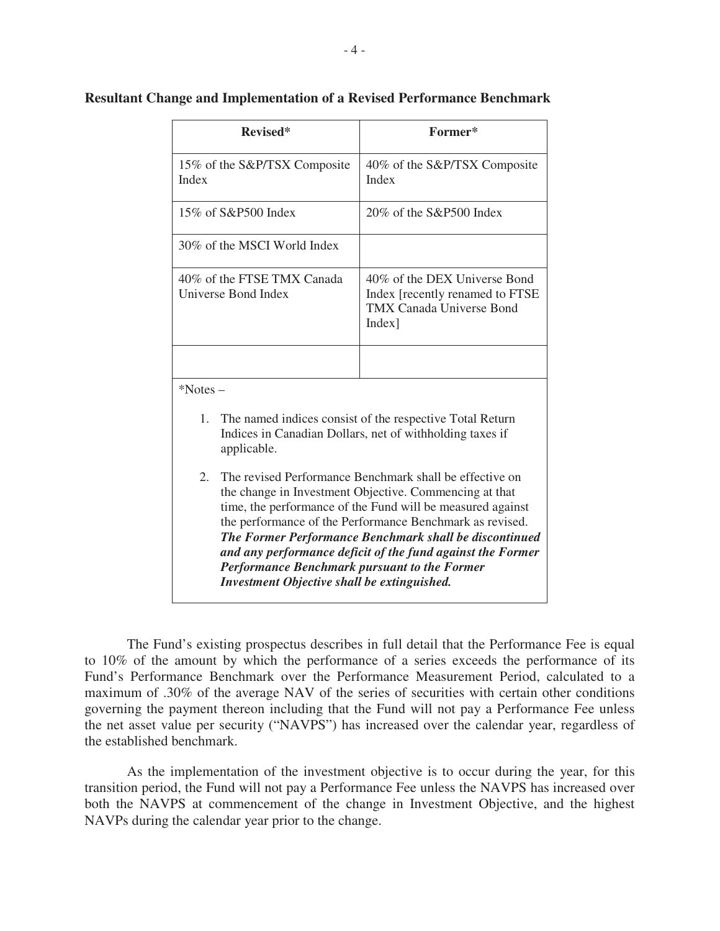| Revised*                                                                                                                                                                                                                                                                                                                                                                                                                                                                                      | Former*                                                                                                          |  |  |  |
|-----------------------------------------------------------------------------------------------------------------------------------------------------------------------------------------------------------------------------------------------------------------------------------------------------------------------------------------------------------------------------------------------------------------------------------------------------------------------------------------------|------------------------------------------------------------------------------------------------------------------|--|--|--|
| 15% of the S&P/TSX Composite<br>Index                                                                                                                                                                                                                                                                                                                                                                                                                                                         | 40% of the S&P/TSX Composite<br>Index                                                                            |  |  |  |
| 15% of S&P500 Index                                                                                                                                                                                                                                                                                                                                                                                                                                                                           | $20\%$ of the S&P500 Index                                                                                       |  |  |  |
| 30% of the MSCI World Index                                                                                                                                                                                                                                                                                                                                                                                                                                                                   |                                                                                                                  |  |  |  |
| 40% of the FTSE TMX Canada<br>Universe Bond Index                                                                                                                                                                                                                                                                                                                                                                                                                                             | 40% of the DEX Universe Bond<br>Index [recently renamed to FTSE]<br><b>TMX Canada Universe Bond</b><br>$Index$ ] |  |  |  |
|                                                                                                                                                                                                                                                                                                                                                                                                                                                                                               |                                                                                                                  |  |  |  |
| *Notes-                                                                                                                                                                                                                                                                                                                                                                                                                                                                                       |                                                                                                                  |  |  |  |
| 1.<br>The named indices consist of the respective Total Return<br>Indices in Canadian Dollars, net of withholding taxes if<br>applicable.                                                                                                                                                                                                                                                                                                                                                     |                                                                                                                  |  |  |  |
| $\overline{2}$ .<br>The revised Performance Benchmark shall be effective on<br>the change in Investment Objective. Commencing at that<br>time, the performance of the Fund will be measured against<br>the performance of the Performance Benchmark as revised.<br>The Former Performance Benchmark shall be discontinued<br>and any performance deficit of the fund against the Former<br><b>Performance Benchmark pursuant to the Former</b><br>Investment Objective shall be extinguished. |                                                                                                                  |  |  |  |

## **Resultant Change and Implementation of a Revised Performance Benchmark**

The Fund's existing prospectus describes in full detail that the Performance Fee is equal to 10% of the amount by which the performance of a series exceeds the performance of its Fund's Performance Benchmark over the Performance Measurement Period, calculated to a maximum of .30% of the average NAV of the series of securities with certain other conditions governing the payment thereon including that the Fund will not pay a Performance Fee unless the net asset value per security ("NAVPS") has increased over the calendar year, regardless of the established benchmark.

As the implementation of the investment objective is to occur during the year, for this transition period, the Fund will not pay a Performance Fee unless the NAVPS has increased over both the NAVPS at commencement of the change in Investment Objective, and the highest NAVPs during the calendar year prior to the change.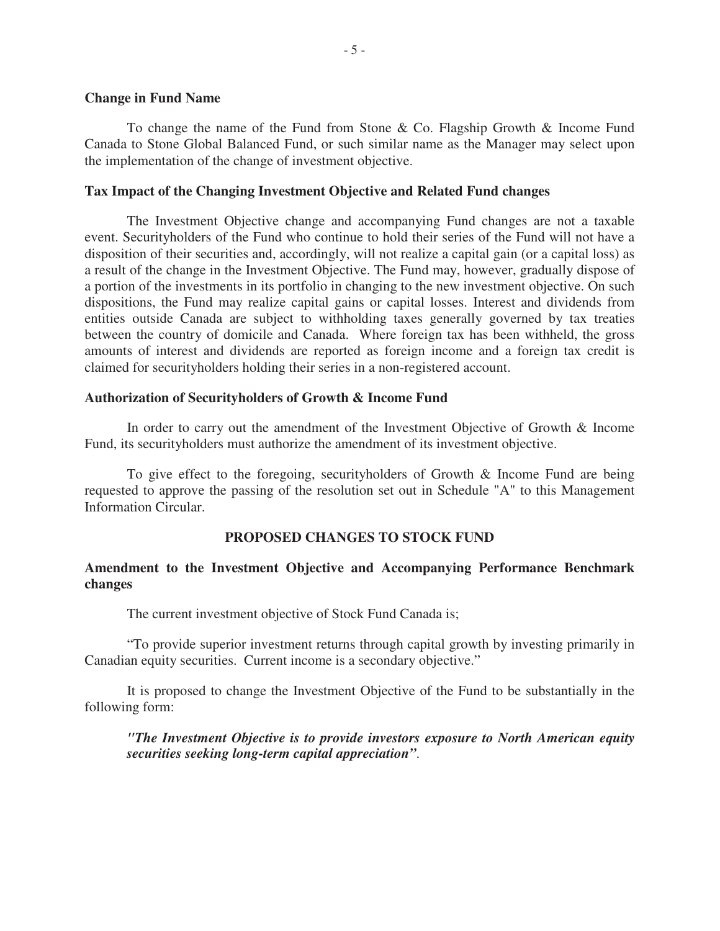#### **Change in Fund Name**

To change the name of the Fund from Stone & Co. Flagship Growth & Income Fund Canada to Stone Global Balanced Fund, or such similar name as the Manager may select upon the implementation of the change of investment objective.

#### **Tax Impact of the Changing Investment Objective and Related Fund changes**

The Investment Objective change and accompanying Fund changes are not a taxable event. Securityholders of the Fund who continue to hold their series of the Fund will not have a disposition of their securities and, accordingly, will not realize a capital gain (or a capital loss) as a result of the change in the Investment Objective. The Fund may, however, gradually dispose of a portion of the investments in its portfolio in changing to the new investment objective. On such dispositions, the Fund may realize capital gains or capital losses. Interest and dividends from entities outside Canada are subject to withholding taxes generally governed by tax treaties between the country of domicile and Canada. Where foreign tax has been withheld, the gross amounts of interest and dividends are reported as foreign income and a foreign tax credit is claimed for securityholders holding their series in a non-registered account.

#### **Authorization of Securityholders of Growth & Income Fund**

In order to carry out the amendment of the Investment Objective of Growth & Income Fund, its securityholders must authorize the amendment of its investment objective.

To give effect to the foregoing, securityholders of Growth & Income Fund are being requested to approve the passing of the resolution set out in Schedule "A" to this Management Information Circular.

#### **PROPOSED CHANGES TO STOCK FUND**

# **Amendment to the Investment Objective and Accompanying Performance Benchmark changes**

The current investment objective of Stock Fund Canada is;

"To provide superior investment returns through capital growth by investing primarily in Canadian equity securities. Current income is a secondary objective."

It is proposed to change the Investment Objective of the Fund to be substantially in the following form:

*"The Investment Objective is to provide investors exposure to North American equity securities seeking long-term capital appreciation"*.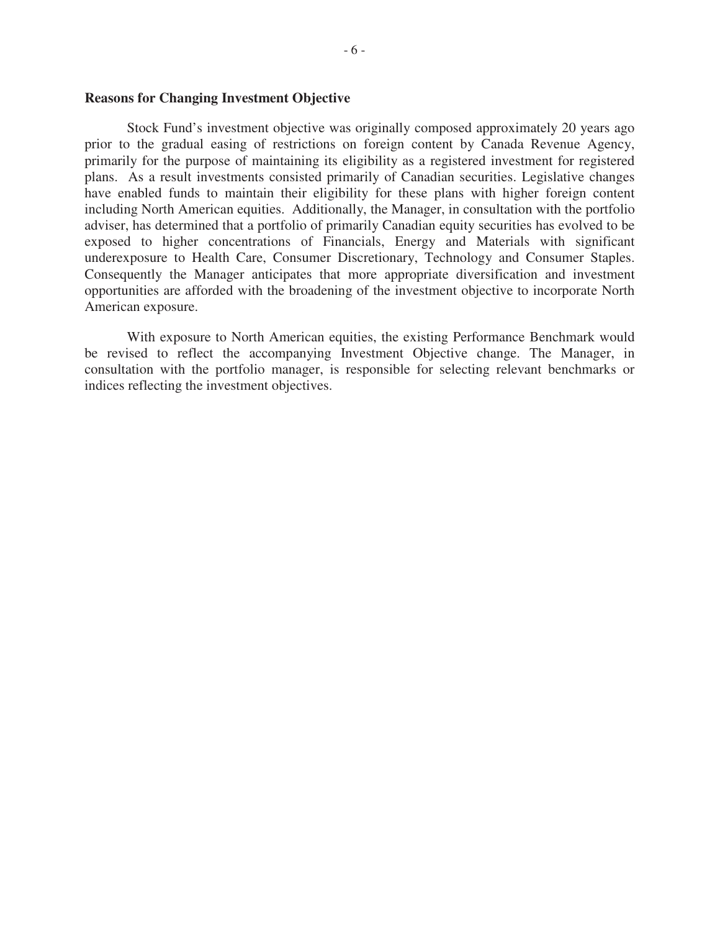#### **Reasons for Changing Investment Objective**

Stock Fund's investment objective was originally composed approximately 20 years ago prior to the gradual easing of restrictions on foreign content by Canada Revenue Agency, primarily for the purpose of maintaining its eligibility as a registered investment for registered plans. As a result investments consisted primarily of Canadian securities. Legislative changes have enabled funds to maintain their eligibility for these plans with higher foreign content including North American equities. Additionally, the Manager, in consultation with the portfolio adviser, has determined that a portfolio of primarily Canadian equity securities has evolved to be exposed to higher concentrations of Financials, Energy and Materials with significant underexposure to Health Care, Consumer Discretionary, Technology and Consumer Staples. Consequently the Manager anticipates that more appropriate diversification and investment opportunities are afforded with the broadening of the investment objective to incorporate North American exposure.

With exposure to North American equities, the existing Performance Benchmark would be revised to reflect the accompanying Investment Objective change. The Manager, in consultation with the portfolio manager, is responsible for selecting relevant benchmarks or indices reflecting the investment objectives.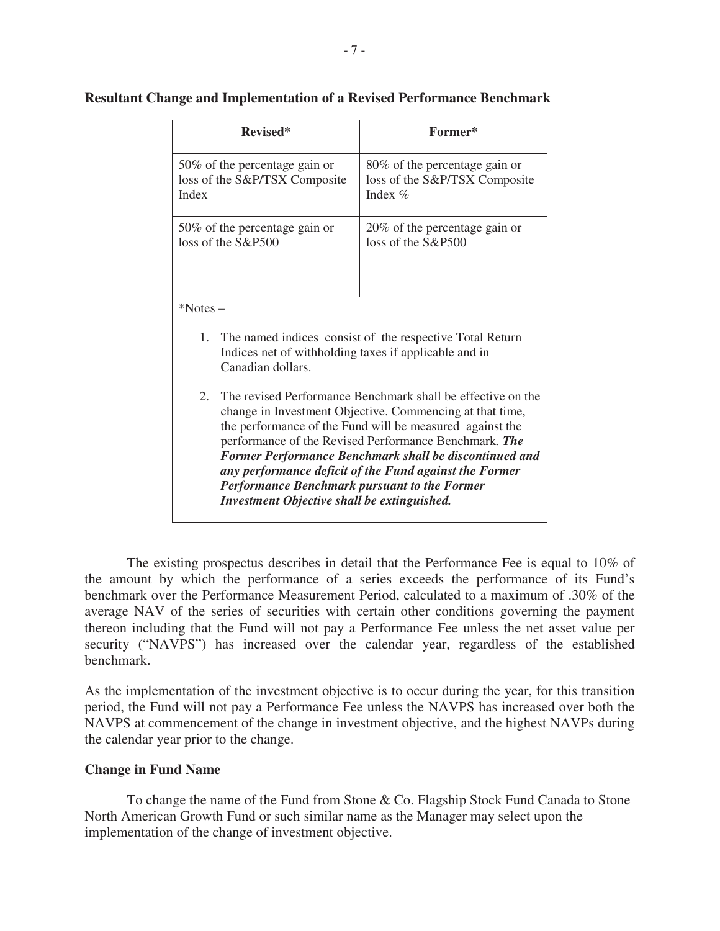| Revised*                                                                                                                                                                                                                                                                                                                                                                                                                                                                     | Former*                                                                      |  |  |  |
|------------------------------------------------------------------------------------------------------------------------------------------------------------------------------------------------------------------------------------------------------------------------------------------------------------------------------------------------------------------------------------------------------------------------------------------------------------------------------|------------------------------------------------------------------------------|--|--|--|
| 50% of the percentage gain or<br>loss of the S&P/TSX Composite<br>Index                                                                                                                                                                                                                                                                                                                                                                                                      | 80% of the percentage gain or<br>loss of the S&P/TSX Composite<br>Index $\%$ |  |  |  |
| 50% of the percentage gain or<br>loss of the S&P500                                                                                                                                                                                                                                                                                                                                                                                                                          | 20% of the percentage gain or<br>loss of the S&P500                          |  |  |  |
|                                                                                                                                                                                                                                                                                                                                                                                                                                                                              |                                                                              |  |  |  |
| $*$ Notes –                                                                                                                                                                                                                                                                                                                                                                                                                                                                  |                                                                              |  |  |  |
| 1. The named indices consist of the respective Total Return<br>Indices net of withholding taxes if applicable and in<br>Canadian dollars.                                                                                                                                                                                                                                                                                                                                    |                                                                              |  |  |  |
| 2.<br>The revised Performance Benchmark shall be effective on the<br>change in Investment Objective. Commencing at that time,<br>the performance of the Fund will be measured against the<br>performance of the Revised Performance Benchmark. The<br>Former Performance Benchmark shall be discontinued and<br>any performance deficit of the Fund against the Former<br><b>Performance Benchmark pursuant to the Former</b><br>Investment Objective shall be extinguished. |                                                                              |  |  |  |

# **Resultant Change and Implementation of a Revised Performance Benchmark**

The existing prospectus describes in detail that the Performance Fee is equal to 10% of the amount by which the performance of a series exceeds the performance of its Fund's benchmark over the Performance Measurement Period, calculated to a maximum of .30% of the average NAV of the series of securities with certain other conditions governing the payment thereon including that the Fund will not pay a Performance Fee unless the net asset value per security ("NAVPS") has increased over the calendar year, regardless of the established benchmark.

As the implementation of the investment objective is to occur during the year, for this transition period, the Fund will not pay a Performance Fee unless the NAVPS has increased over both the NAVPS at commencement of the change in investment objective, and the highest NAVPs during the calendar year prior to the change.

#### **Change in Fund Name**

 To change the name of the Fund from Stone & Co. Flagship Stock Fund Canada to Stone North American Growth Fund or such similar name as the Manager may select upon the implementation of the change of investment objective.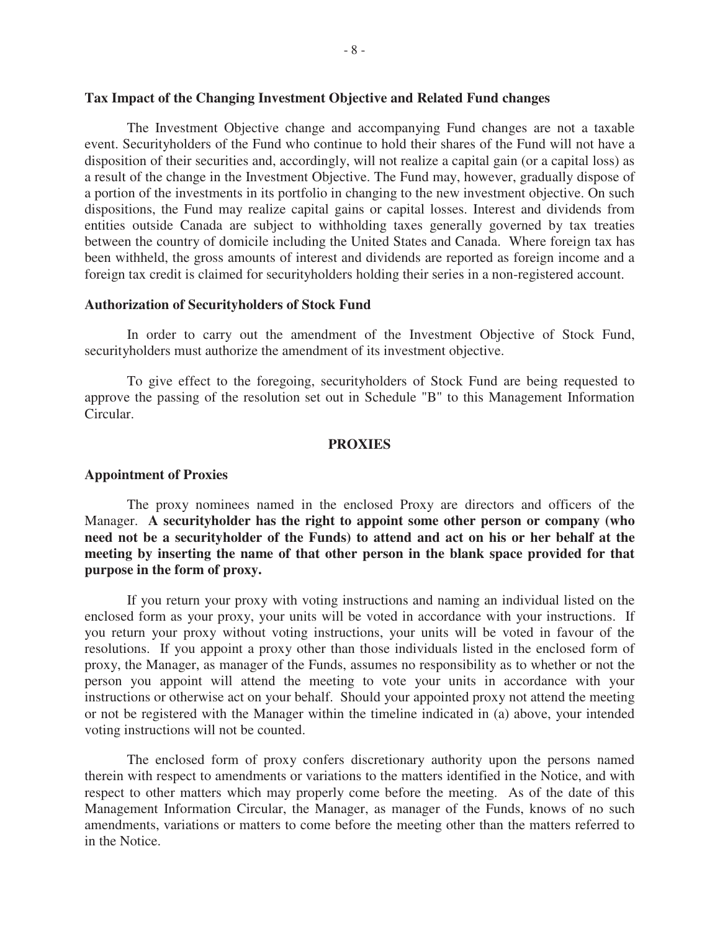# **Tax Impact of the Changing Investment Objective and Related Fund changes**

The Investment Objective change and accompanying Fund changes are not a taxable event. Securityholders of the Fund who continue to hold their shares of the Fund will not have a disposition of their securities and, accordingly, will not realize a capital gain (or a capital loss) as a result of the change in the Investment Objective. The Fund may, however, gradually dispose of a portion of the investments in its portfolio in changing to the new investment objective. On such dispositions, the Fund may realize capital gains or capital losses. Interest and dividends from entities outside Canada are subject to withholding taxes generally governed by tax treaties between the country of domicile including the United States and Canada. Where foreign tax has been withheld, the gross amounts of interest and dividends are reported as foreign income and a foreign tax credit is claimed for securityholders holding their series in a non-registered account.

#### **Authorization of Securityholders of Stock Fund**

In order to carry out the amendment of the Investment Objective of Stock Fund, securityholders must authorize the amendment of its investment objective.

To give effect to the foregoing, securityholders of Stock Fund are being requested to approve the passing of the resolution set out in Schedule "B" to this Management Information Circular.

#### **PROXIES**

#### **Appointment of Proxies**

The proxy nominees named in the enclosed Proxy are directors and officers of the Manager. **A securityholder has the right to appoint some other person or company (who need not be a securityholder of the Funds) to attend and act on his or her behalf at the meeting by inserting the name of that other person in the blank space provided for that purpose in the form of proxy.**

If you return your proxy with voting instructions and naming an individual listed on the enclosed form as your proxy, your units will be voted in accordance with your instructions. If you return your proxy without voting instructions, your units will be voted in favour of the resolutions. If you appoint a proxy other than those individuals listed in the enclosed form of proxy, the Manager, as manager of the Funds, assumes no responsibility as to whether or not the person you appoint will attend the meeting to vote your units in accordance with your instructions or otherwise act on your behalf. Should your appointed proxy not attend the meeting or not be registered with the Manager within the timeline indicated in (a) above, your intended voting instructions will not be counted.

The enclosed form of proxy confers discretionary authority upon the persons named therein with respect to amendments or variations to the matters identified in the Notice, and with respect to other matters which may properly come before the meeting. As of the date of this Management Information Circular, the Manager, as manager of the Funds, knows of no such amendments, variations or matters to come before the meeting other than the matters referred to in the Notice.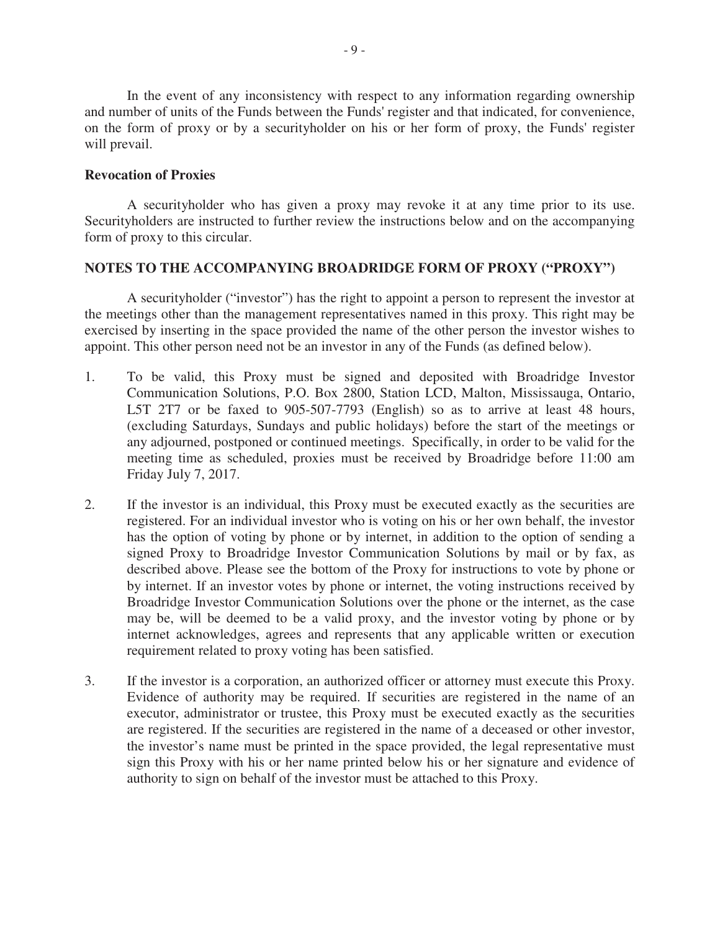In the event of any inconsistency with respect to any information regarding ownership and number of units of the Funds between the Funds' register and that indicated, for convenience, on the form of proxy or by a securityholder on his or her form of proxy, the Funds' register will prevail.

# **Revocation of Proxies**

A securityholder who has given a proxy may revoke it at any time prior to its use. Securityholders are instructed to further review the instructions below and on the accompanying form of proxy to this circular.

# **NOTES TO THE ACCOMPANYING BROADRIDGE FORM OF PROXY ("PROXY")**

A securityholder ("investor") has the right to appoint a person to represent the investor at the meetings other than the management representatives named in this proxy. This right may be exercised by inserting in the space provided the name of the other person the investor wishes to appoint. This other person need not be an investor in any of the Funds (as defined below).

- 1. To be valid, this Proxy must be signed and deposited with Broadridge Investor Communication Solutions, P.O. Box 2800, Station LCD, Malton, Mississauga, Ontario, L5T 2T7 or be faxed to 905-507-7793 (English) so as to arrive at least 48 hours, (excluding Saturdays, Sundays and public holidays) before the start of the meetings or any adjourned, postponed or continued meetings. Specifically, in order to be valid for the meeting time as scheduled, proxies must be received by Broadridge before 11:00 am Friday July 7, 2017.
- 2. If the investor is an individual, this Proxy must be executed exactly as the securities are registered. For an individual investor who is voting on his or her own behalf, the investor has the option of voting by phone or by internet, in addition to the option of sending a signed Proxy to Broadridge Investor Communication Solutions by mail or by fax, as described above. Please see the bottom of the Proxy for instructions to vote by phone or by internet. If an investor votes by phone or internet, the voting instructions received by Broadridge Investor Communication Solutions over the phone or the internet, as the case may be, will be deemed to be a valid proxy, and the investor voting by phone or by internet acknowledges, agrees and represents that any applicable written or execution requirement related to proxy voting has been satisfied.
- 3. If the investor is a corporation, an authorized officer or attorney must execute this Proxy. Evidence of authority may be required. If securities are registered in the name of an executor, administrator or trustee, this Proxy must be executed exactly as the securities are registered. If the securities are registered in the name of a deceased or other investor, the investor's name must be printed in the space provided, the legal representative must sign this Proxy with his or her name printed below his or her signature and evidence of authority to sign on behalf of the investor must be attached to this Proxy.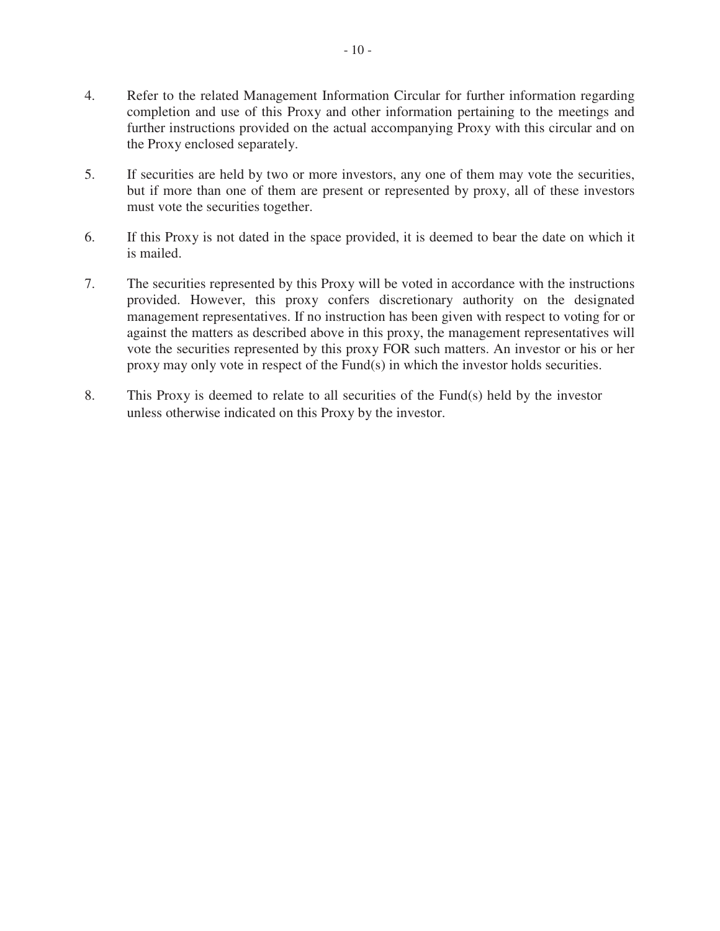- 4. Refer to the related Management Information Circular for further information regarding completion and use of this Proxy and other information pertaining to the meetings and further instructions provided on the actual accompanying Proxy with this circular and on the Proxy enclosed separately.
- 5. If securities are held by two or more investors, any one of them may vote the securities, but if more than one of them are present or represented by proxy, all of these investors must vote the securities together.
- 6. If this Proxy is not dated in the space provided, it is deemed to bear the date on which it is mailed.
- 7. The securities represented by this Proxy will be voted in accordance with the instructions provided. However, this proxy confers discretionary authority on the designated management representatives. If no instruction has been given with respect to voting for or against the matters as described above in this proxy, the management representatives will vote the securities represented by this proxy FOR such matters. An investor or his or her proxy may only vote in respect of the Fund(s) in which the investor holds securities.
- 8. This Proxy is deemed to relate to all securities of the Fund(s) held by the investor unless otherwise indicated on this Proxy by the investor.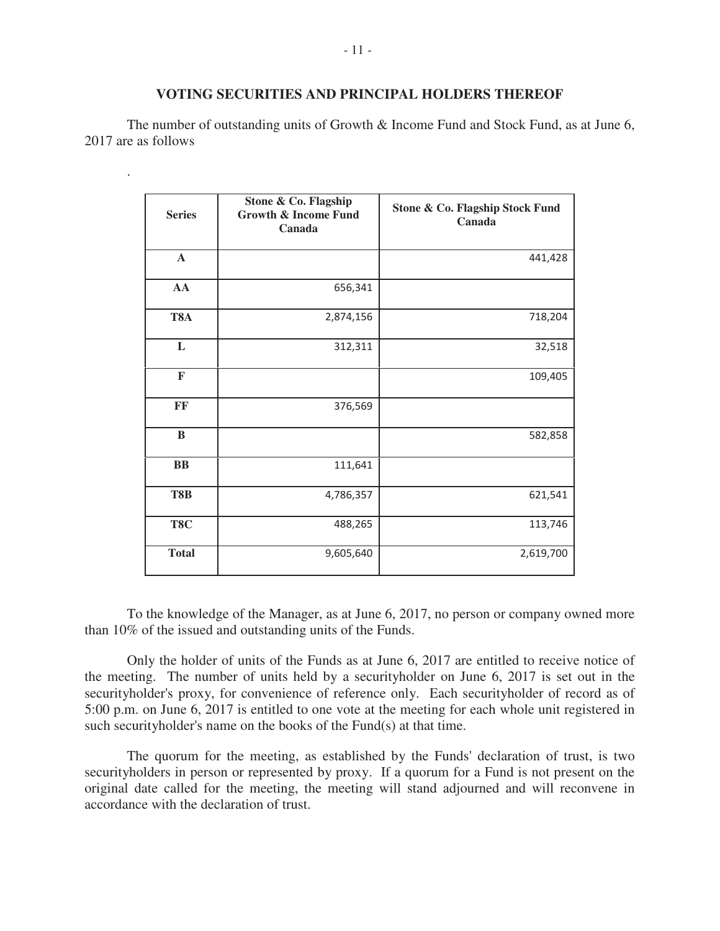#### **VOTING SECURITIES AND PRINCIPAL HOLDERS THEREOF**

The number of outstanding units of Growth & Income Fund and Stock Fund, as at June 6, 2017 are as follows

.

| <b>Series</b> | Stone & Co. Flagship<br><b>Growth &amp; Income Fund</b><br>Canada | Stone & Co. Flagship Stock Fund<br>Canada |
|---------------|-------------------------------------------------------------------|-------------------------------------------|
| $\mathbf A$   |                                                                   | 441,428                                   |
| AA            | 656,341                                                           |                                           |
| T8A           | 2,874,156                                                         | 718,204                                   |
| L             | 312,311                                                           | 32,518                                    |
| $\mathbf F$   |                                                                   | 109,405                                   |
| FF            | 376,569                                                           |                                           |
| $\bf{B}$      |                                                                   | 582,858                                   |
| $\bf BB$      | 111,641                                                           |                                           |
| T8B           | 4,786,357                                                         | 621,541                                   |
| T8C           | 488,265                                                           | 113,746                                   |
| <b>Total</b>  | 9,605,640                                                         | 2,619,700                                 |

To the knowledge of the Manager, as at June 6, 2017, no person or company owned more than 10% of the issued and outstanding units of the Funds.

Only the holder of units of the Funds as at June 6, 2017 are entitled to receive notice of the meeting. The number of units held by a securityholder on June 6, 2017 is set out in the securityholder's proxy, for convenience of reference only. Each securityholder of record as of 5:00 p.m. on June 6, 2017 is entitled to one vote at the meeting for each whole unit registered in such securityholder's name on the books of the Fund(s) at that time.

The quorum for the meeting, as established by the Funds' declaration of trust, is two securityholders in person or represented by proxy. If a quorum for a Fund is not present on the original date called for the meeting, the meeting will stand adjourned and will reconvene in accordance with the declaration of trust.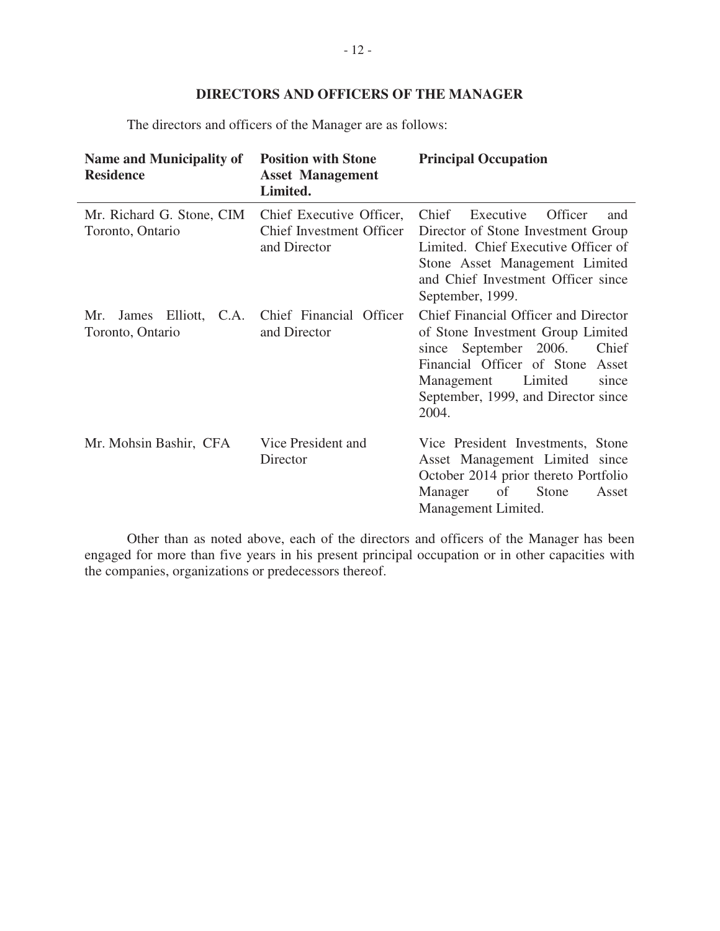# **DIRECTORS AND OFFICERS OF THE MANAGER**

The directors and officers of the Manager are as follows:

| <b>Name and Municipality of</b><br><b>Residence</b> | <b>Position with Stone</b><br><b>Asset Management</b><br>Limited.    | <b>Principal Occupation</b>                                                                                                                                                                                                          |  |
|-----------------------------------------------------|----------------------------------------------------------------------|--------------------------------------------------------------------------------------------------------------------------------------------------------------------------------------------------------------------------------------|--|
| Mr. Richard G. Stone, CIM<br>Toronto, Ontario       | Chief Executive Officer,<br>Chief Investment Officer<br>and Director | Chief<br>Executive<br>Officer<br>and<br>Director of Stone Investment Group<br>Limited. Chief Executive Officer of<br>Stone Asset Management Limited<br>and Chief Investment Officer since<br>September, 1999.                        |  |
| James Elliott, C.A.<br>Mr.<br>Toronto, Ontario      | Chief Financial Officer<br>and Director                              | Chief Financial Officer and Director<br>of Stone Investment Group Limited<br>Chief<br>since September 2006.<br>Financial Officer of Stone<br>Asset<br>Management<br>Limited<br>since<br>September, 1999, and Director since<br>2004. |  |
| Mr. Mohsin Bashir, CFA                              | Vice President and<br>Director                                       | Vice President Investments, Stone<br>Asset Management Limited since<br>October 2014 prior thereto Portfolio<br>Manager<br>$\sigma$<br>Stone<br>Asset<br>Management Limited.                                                          |  |

Other than as noted above, each of the directors and officers of the Manager has been engaged for more than five years in his present principal occupation or in other capacities with the companies, organizations or predecessors thereof.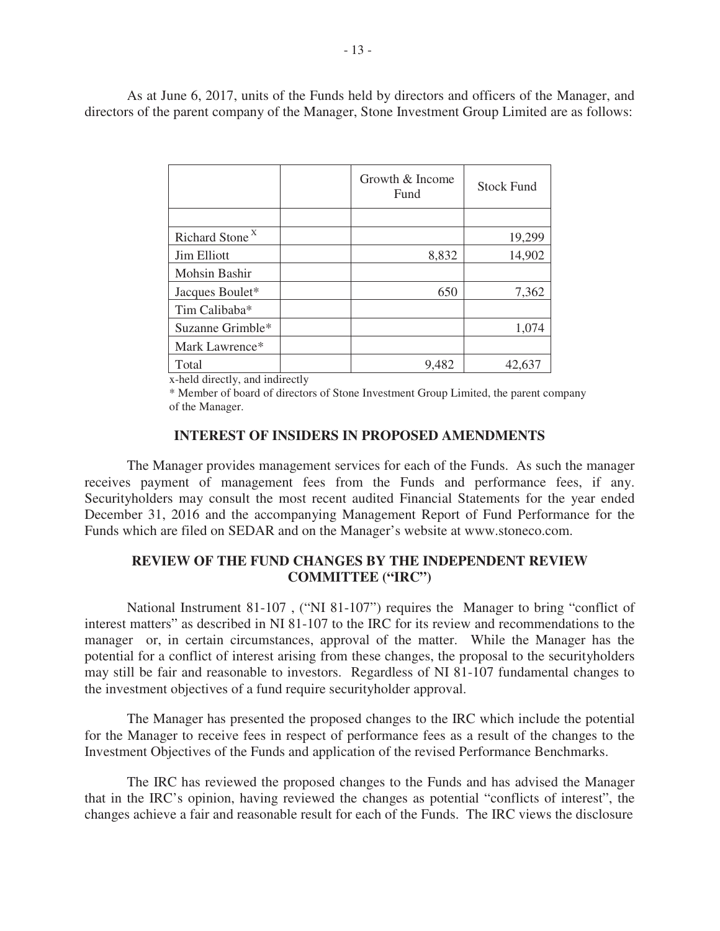As at June 6, 2017, units of the Funds held by directors and officers of the Manager, and directors of the parent company of the Manager, Stone Investment Group Limited are as follows:

|                            | Growth & Income<br>Fund |       | <b>Stock Fund</b> |
|----------------------------|-------------------------|-------|-------------------|
|                            |                         |       |                   |
| Richard Stone <sup>X</sup> |                         |       | 19,299            |
| Jim Elliott                |                         | 8,832 | 14,902            |
| Mohsin Bashir              |                         |       |                   |
| Jacques Boulet*            |                         | 650   | 7,362             |
| Tim Calibaba*              |                         |       |                   |
| Suzanne Grimble*           |                         |       | 1,074             |
| Mark Lawrence*             |                         |       |                   |
| Total                      |                         | 9,482 | 42,637            |

x-held directly, and indirectly

\* Member of board of directors of Stone Investment Group Limited, the parent company of the Manager.

## **INTEREST OF INSIDERS IN PROPOSED AMENDMENTS**

The Manager provides management services for each of the Funds. As such the manager receives payment of management fees from the Funds and performance fees, if any. Securityholders may consult the most recent audited Financial Statements for the year ended December 31, 2016 and the accompanying Management Report of Fund Performance for the Funds which are filed on SEDAR and on the Manager's website at www.stoneco.com.

# **REVIEW OF THE FUND CHANGES BY THE INDEPENDENT REVIEW COMMITTEE ("IRC")**

National Instrument 81-107 , ("NI 81-107") requires the Manager to bring "conflict of interest matters" as described in NI 81-107 to the IRC for its review and recommendations to the manager or, in certain circumstances, approval of the matter. While the Manager has the potential for a conflict of interest arising from these changes, the proposal to the securityholders may still be fair and reasonable to investors. Regardless of NI 81-107 fundamental changes to the investment objectives of a fund require securityholder approval.

The Manager has presented the proposed changes to the IRC which include the potential for the Manager to receive fees in respect of performance fees as a result of the changes to the Investment Objectives of the Funds and application of the revised Performance Benchmarks.

The IRC has reviewed the proposed changes to the Funds and has advised the Manager that in the IRC's opinion, having reviewed the changes as potential "conflicts of interest", the changes achieve a fair and reasonable result for each of the Funds. The IRC views the disclosure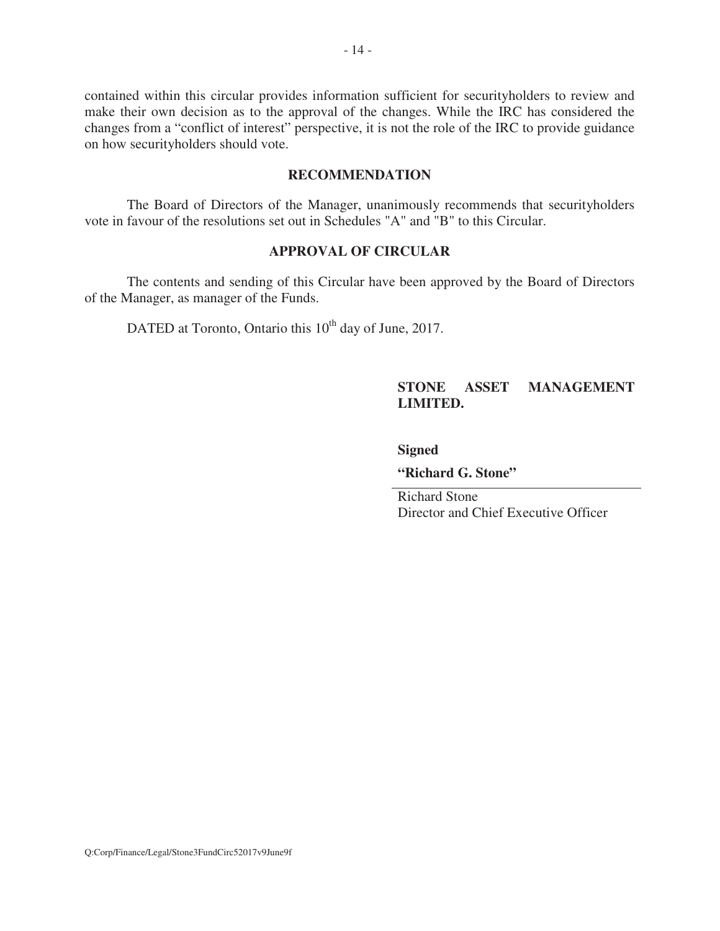contained within this circular provides information sufficient for securityholders to review and make their own decision as to the approval of the changes. While the IRC has considered the changes from a "conflict of interest" perspective, it is not the role of the IRC to provide guidance on how securityholders should vote.

# **RECOMMENDATION**

The Board of Directors of the Manager, unanimously recommends that securityholders vote in favour of the resolutions set out in Schedules "A" and "B" to this Circular.

# **APPROVAL OF CIRCULAR**

The contents and sending of this Circular have been approved by the Board of Directors of the Manager, as manager of the Funds.

DATED at Toronto, Ontario this 10<sup>th</sup> day of June, 2017.

# **STONE ASSET MANAGEMENT LIMITED.**

#### **Signed**

**"Richard G. Stone"** 

Richard Stone Director and Chief Executive Officer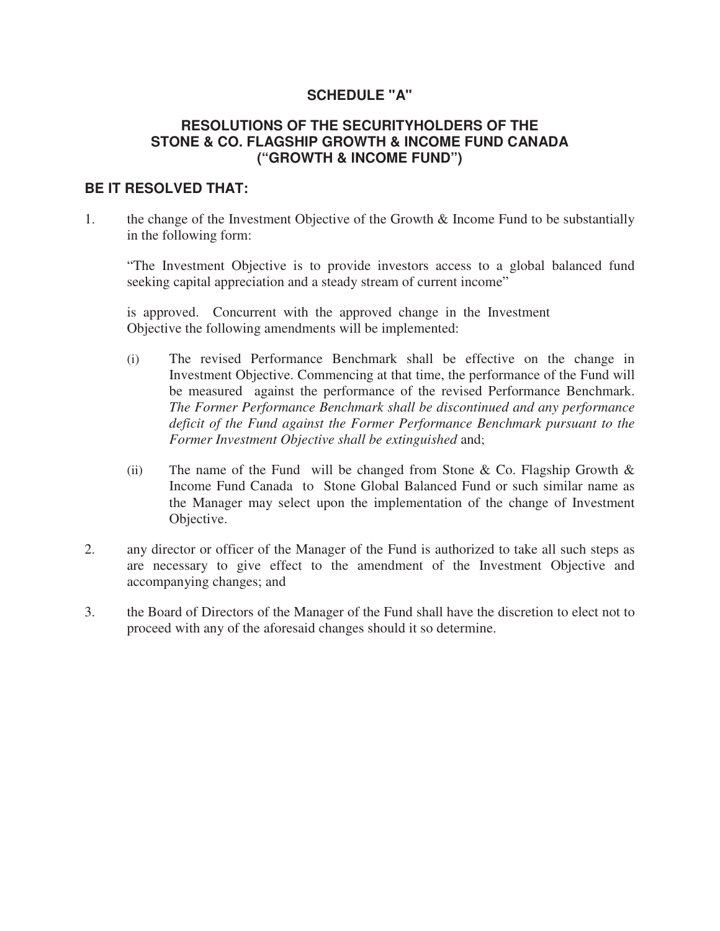# **SCHEDULE "A"**

# **RESOLUTIONS OF THE SECURITYHOLDERS OF THE STONE & CO. FLAGSHIP GROWTH & INCOME FUND CANADA ("GROWTH & INCOME FUND")**

# **BE IT RESOLVED THAT:**

1. the change of the Investment Objective of the Growth & Income Fund to be substantially in the following form:

"The Investment Objective is to provide investors access to a global balanced fund seeking capital appreciation and a steady stream of current income"

is approved. Concurrent with the approved change in the Investment Objective the following amendments will be implemented:

- (i) The revised Performance Benchmark shall be effective on the change in Investment Objective. Commencing at that time, the performance of the Fund will be measured against the performance of the revised Performance Benchmark. *The Former Performance Benchmark shall be discontinued and any performance deficit of the Fund against the Former Performance Benchmark pursuant to the Former Investment Objective shall be extinguished* and;
- (ii) The name of the Fund will be changed from Stone & Co. Flagship Growth  $\&$ Income Fund Canada to Stone Global Balanced Fund or such similar name as the Manager may select upon the implementation of the change of Investment Objective.
- 2. any director or officer of the Manager of the Fund is authorized to take all such steps as are necessary to give effect to the amendment of the Investment Objective and accompanying changes; and
- 3. the Board of Directors of the Manager of the Fund shall have the discretion to elect not to proceed with any of the aforesaid changes should it so determine.